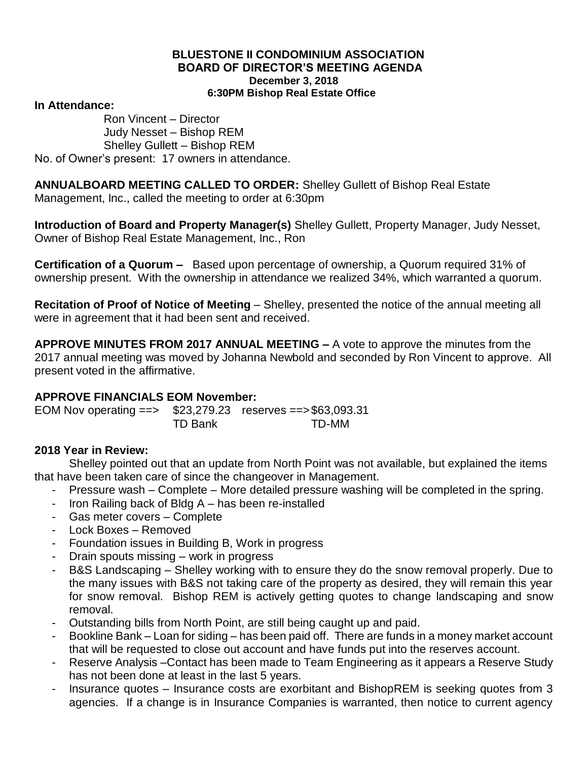#### **BLUESTONE II CONDOMINIUM ASSOCIATION BOARD OF DIRECTOR'S MEETING AGENDA December 3, 2018 6:30PM Bishop Real Estate Office**

#### **In Attendance:**

Ron Vincent – Director Judy Nesset – Bishop REM Shelley Gullett – Bishop REM No. of Owner's present: 17 owners in attendance.

**ANNUALBOARD MEETING CALLED TO ORDER:** Shelley Gullett of Bishop Real Estate Management, Inc., called the meeting to order at 6:30pm

**Introduction of Board and Property Manager(s)** Shelley Gullett, Property Manager, Judy Nesset, Owner of Bishop Real Estate Management, Inc., Ron

**Certification of a Quorum –** Based upon percentage of ownership, a Quorum required 31% of ownership present. With the ownership in attendance we realized 34%, which warranted a quorum.

**Recitation of Proof of Notice of Meeting** – Shelley, presented the notice of the annual meeting all were in agreement that it had been sent and received.

**APPROVE MINUTES FROM 2017 ANNUAL MEETING –** A vote to approve the minutes from the 2017 annual meeting was moved by Johanna Newbold and seconded by Ron Vincent to approve. All present voted in the affirmative.

#### **APPROVE FINANCIALS EOM November:**

EOM Nov operating ==> \$23,279.23 reserves ==>\$63,093.31 TD Bank TD-MM

# **2018 Year in Review:**

Shelley pointed out that an update from North Point was not available, but explained the items that have been taken care of since the changeover in Management.

- Pressure wash Complete More detailed pressure washing will be completed in the spring.
- Iron Railing back of Bldg A has been re-installed
- Gas meter covers Complete
- Lock Boxes Removed
- Foundation issues in Building B, Work in progress
- Drain spouts missing work in progress
- B&S Landscaping Shelley working with to ensure they do the snow removal properly. Due to the many issues with B&S not taking care of the property as desired, they will remain this year for snow removal. Bishop REM is actively getting quotes to change landscaping and snow removal.
- Outstanding bills from North Point, are still being caught up and paid.
- Bookline Bank Loan for siding has been paid off. There are funds in a money market account that will be requested to close out account and have funds put into the reserves account.
- Reserve Analysis –Contact has been made to Team Engineering as it appears a Reserve Study has not been done at least in the last 5 years.
- Insurance quotes Insurance costs are exorbitant and BishopREM is seeking quotes from 3 agencies. If a change is in Insurance Companies is warranted, then notice to current agency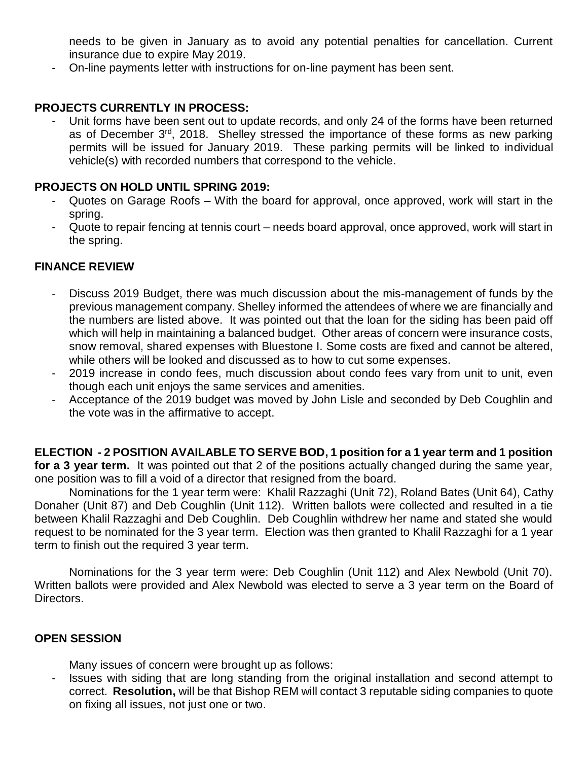needs to be given in January as to avoid any potential penalties for cancellation. Current insurance due to expire May 2019.

- On-line payments letter with instructions for on-line payment has been sent.

### **PROJECTS CURRENTLY IN PROCESS:**

Unit forms have been sent out to update records, and only 24 of the forms have been returned as of December 3rd, 2018. Shelley stressed the importance of these forms as new parking permits will be issued for January 2019. These parking permits will be linked to individual vehicle(s) with recorded numbers that correspond to the vehicle.

### **PROJECTS ON HOLD UNTIL SPRING 2019:**

- Quotes on Garage Roofs With the board for approval, once approved, work will start in the spring.
- Quote to repair fencing at tennis court needs board approval, once approved, work will start in the spring.

# **FINANCE REVIEW**

- Discuss 2019 Budget, there was much discussion about the mis-management of funds by the previous management company. Shelley informed the attendees of where we are financially and the numbers are listed above. It was pointed out that the loan for the siding has been paid off which will help in maintaining a balanced budget. Other areas of concern were insurance costs, snow removal, shared expenses with Bluestone I. Some costs are fixed and cannot be altered, while others will be looked and discussed as to how to cut some expenses.
- 2019 increase in condo fees, much discussion about condo fees vary from unit to unit, even though each unit enjoys the same services and amenities.
- Acceptance of the 2019 budget was moved by John Lisle and seconded by Deb Coughlin and the vote was in the affirmative to accept.

**ELECTION - 2 POSITION AVAILABLE TO SERVE BOD, 1 position for a 1 year term and 1 position for a 3 year term.** It was pointed out that 2 of the positions actually changed during the same year, one position was to fill a void of a director that resigned from the board.

Nominations for the 1 year term were: Khalil Razzaghi (Unit 72), Roland Bates (Unit 64), Cathy Donaher (Unit 87) and Deb Coughlin (Unit 112). Written ballots were collected and resulted in a tie between Khalil Razzaghi and Deb Coughlin. Deb Coughlin withdrew her name and stated she would request to be nominated for the 3 year term. Election was then granted to Khalil Razzaghi for a 1 year term to finish out the required 3 year term.

Nominations for the 3 year term were: Deb Coughlin (Unit 112) and Alex Newbold (Unit 70). Written ballots were provided and Alex Newbold was elected to serve a 3 year term on the Board of Directors.

#### **OPEN SESSION**

Many issues of concern were brought up as follows:

- Issues with siding that are long standing from the original installation and second attempt to correct. **Resolution,** will be that Bishop REM will contact 3 reputable siding companies to quote on fixing all issues, not just one or two.